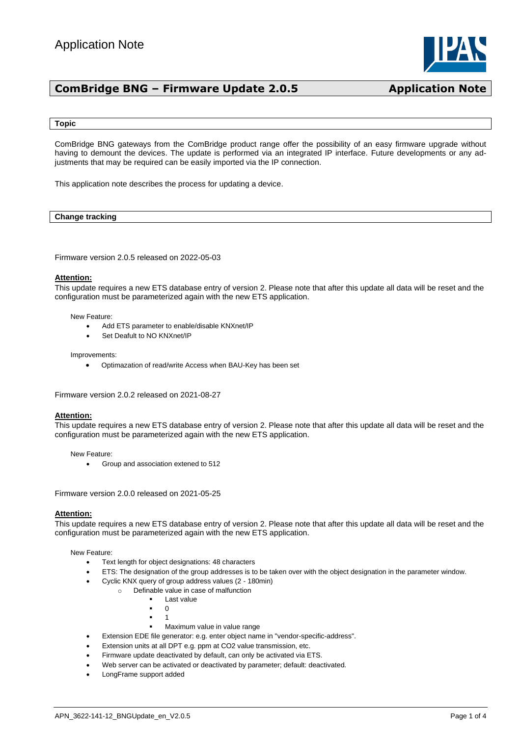

#### **Topic**

ComBridge BNG gateways from the ComBridge product range offer the possibility of an easy firmware upgrade without having to demount the devices. The update is performed via an integrated IP interface. Future developments or any adjustments that may be required can be easily imported via the IP connection.

This application note describes the process for updating a device.

#### **Change tracking**

Firmware version 2.0.5 released on 2022-05-03

#### **Attention:**

This update requires a new ETS database entry of version 2. Please note that after this update all data will be reset and the configuration must be parameterized again with the new ETS application.

New Feature:

- Add ETS parameter to enable/disable KNXnet/IP
- Set Deafult to NO KNXnet/IP

Improvements:

• Optimazation of read/write Access when BAU-Key has been set

Firmware version 2.0.2 released on 2021-08-27

#### **Attention:**

This update requires a new ETS database entry of version 2. Please note that after this update all data will be reset and the configuration must be parameterized again with the new ETS application.

New Feature:

• Group and association extened to 512

Firmware version 2.0.0 released on 2021-05-25

### **Attention:**

This update requires a new ETS database entry of version 2. Please note that after this update all data will be reset and the configuration must be parameterized again with the new ETS application.

New Feature:

- Text length for object designations: 48 characters
- ETS: The designation of the group addresses is to be taken over with the object designation in the parameter window.
	- Cyclic KNX query of group address values (2 180min)
		- o Definable value in case of malfunction
			- Last value
			- 0
			- 1
			- Maximum value in value range
		- Extension EDE file generator: e.g. enter object name in "vendor-specific-address".
- Extension units at all DPT e.g. ppm at CO2 value transmission, etc.
- Firmware update deactivated by default, can only be activated via ETS.
- Web server can be activated or deactivated by parameter; default: deactivated.
- LongFrame support added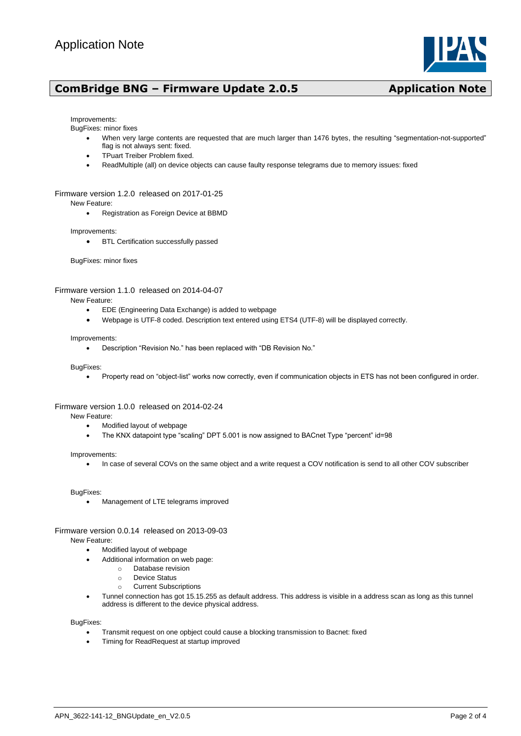

#### Improvements:

BugFixes: minor fixes

- When very large contents are requested that are much larger than 1476 bytes, the resulting "segmentation-not-supported" flag is not always sent: fixed.
- TPuart Treiber Problem fixed.
- ReadMultiple (all) on device objects can cause faulty response telegrams due to memory issues: fixed

#### Firmware version 1.2.0 released on 2017-01-25

New Feature:

• Registration as Foreign Device at BBMD

Improvements:

• BTL Certification successfully passed

BugFixes: minor fixes

#### Firmware version 1.1.0 released on 2014-04-07

New Feature:

- EDE (Engineering Data Exchange) is added to webpage
- Webpage is UTF-8 coded. Description text entered using ETS4 (UTF-8) will be displayed correctly.

#### Improvements:

• Description "Revision No." has been replaced with "DB Revision No."

BugFixes:

• Property read on "object-list" works now correctly, even if communication objects in ETS has not been configured in order.

#### Firmware version 1.0.0 released on 2014-02-24

New Feature:

- Modified layout of webpage
- The KNX datapoint type "scaling" DPT 5.001 is now assigned to BACnet Type "percent" id=98

#### Improvements:

• In case of several COVs on the same object and a write request a COV notification is send to all other COV subscriber

BugFixes:

• Management of LTE telegrams improved

#### Firmware version 0.0.14 released on 2013-09-03

New Feature:

- Modified layout of webpage
- Additional information on web page:
	- o Database revision
	- o Device Status
	- o Current Subscriptions
- Tunnel connection has got 15.15.255 as default address. This address is visible in a address scan as long as this tunnel address is different to the device physical address.

BugFixes:

- Transmit request on one opbject could cause a blocking transmission to Bacnet: fixed
- Timing for ReadRequest at startup improved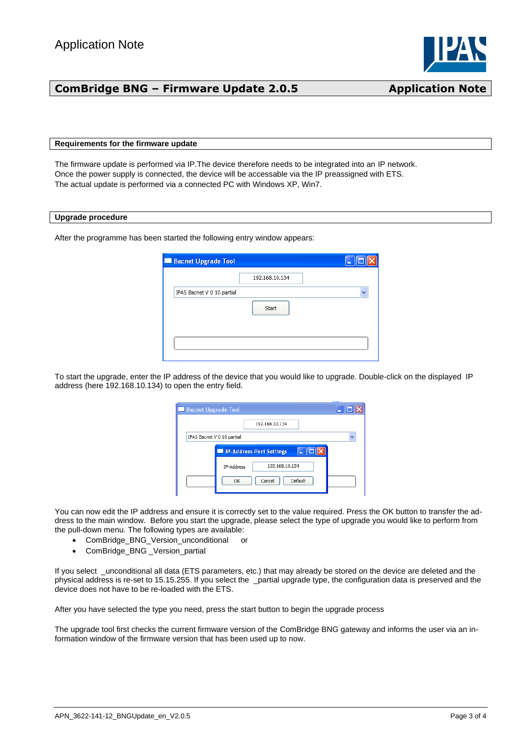

### **Requirements for the firmware update**

The firmware update is performed via IP.The device therefore needs to be integrated into an IP network. Once the power supply is connected, the device will be accessable via the IP preassigned with ETS. The actual update is performed via a connected PC with Windows XP, Win7.

#### **Upgrade procedure**

After the programme has been started the following entry window appears:

| 192.168.10.134 |  |
|----------------|--|
|                |  |
| Start          |  |
|                |  |
|                |  |
|                |  |

To start the upgrade, enter the IP address of the device that you would like to upgrade. Double-click on the displayed IP address (here 192.168.10.134) to open the entry field.

| <b>Bacnet Upgrade Tool</b> |                              |              |
|----------------------------|------------------------------|--------------|
|                            | 192.168.10.134               |              |
| IPAS Bacnet V 0 10 partial |                              | $\checkmark$ |
|                            | IP-Address Port Settings     |              |
|                            | 192.168.10.134<br>IP-Address |              |
|                            | Default<br>Cancel<br>ОК      |              |

You can now edit the IP address and ensure it is correctly set to the value required. Press the OK button to transfer the address to the main window. Before you start the upgrade, please select the type of upgrade you would like to perform from the pull-down menu. The following types are available:

- ComBridge\_BNG\_Version\_unconditional or
- ComBridge\_BNG \_Version\_partial

If you select \_unconditional all data (ETS parameters, etc.) that may already be stored on the device are deleted and the physical address is re-set to 15.15.255. If you select the \_partial upgrade type, the configuration data is preserved and the device does not have to be re-loaded with the ETS.

After you have selected the type you need, press the start button to begin the upgrade process

The upgrade tool first checks the current firmware version of the ComBridge BNG gateway and informs the user via an information window of the firmware version that has been used up to now.